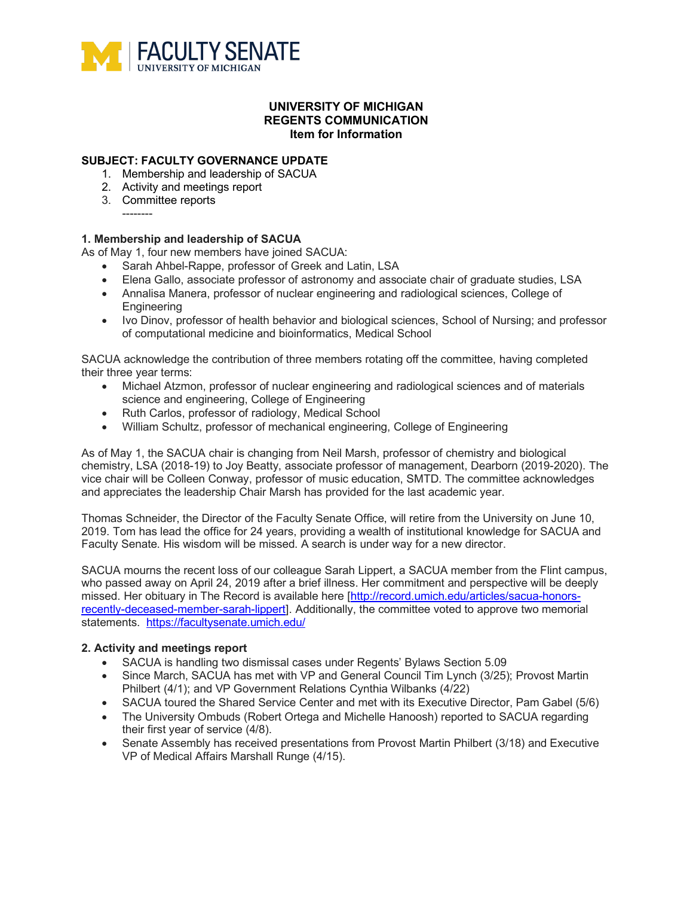

## **UNIVERSITY OF MICHIGAN REGENTS COMMUNICATION Item for Information**

### **SUBJECT: FACULTY GOVERNANCE UPDATE**

- 1. Membership and leadership of SACUA
- 2. Activity and meetings report
- 3. Committee reports --------

### **1. Membership and leadership of SACUA**

As of May 1, four new members have joined SACUA:

- Sarah Ahbel-Rappe, professor of Greek and Latin, LSA
- Elena Gallo, associate professor of astronomy and associate chair of graduate studies, LSA
- Annalisa Manera, professor of nuclear engineering and radiological sciences, College of **Engineering**
- Ivo Dinov, professor of health behavior and biological sciences, School of Nursing; and professor of computational medicine and bioinformatics, Medical School

SACUA acknowledge the contribution of three members rotating off the committee, having completed their three year terms:

- Michael Atzmon, professor of nuclear engineering and radiological sciences and of materials science and engineering, College of Engineering
- Ruth Carlos, professor of radiology, Medical School
- William Schultz, professor of mechanical engineering, College of Engineering

As of May 1, the SACUA chair is changing from Neil Marsh, professor of chemistry and biological chemistry, LSA (2018-19) to Joy Beatty, associate professor of management, Dearborn (2019-2020). The vice chair will be Colleen Conway, professor of music education, SMTD. The committee acknowledges and appreciates the leadership Chair Marsh has provided for the last academic year.

Thomas Schneider, the Director of the Faculty Senate Office, will retire from the University on June 10, 2019. Tom has lead the office for 24 years, providing a wealth of institutional knowledge for SACUA and Faculty Senate. His wisdom will be missed. A search is under way for a new director.

SACUA mourns the recent loss of our colleague Sarah Lippert, a SACUA member from the Flint campus, who passed away on April 24, 2019 after a brief illness. Her commitment and perspective will be deeply missed. Her obituary in The Record is available here [http://record.umich.edu/articles/sacua-honorsrecently-deceased-member-sarah-lippert]. Additionally, the committee voted to approve two memorial statements. https://facultysenate.umich.edu/

#### **2. Activity and meetings report**

- SACUA is handling two dismissal cases under Regents' Bylaws Section 5.09
- Since March, SACUA has met with VP and General Council Tim Lynch (3/25); Provost Martin Philbert (4/1); and VP Government Relations Cynthia Wilbanks (4/22)
- SACUA toured the Shared Service Center and met with its Executive Director, Pam Gabel (5/6)
- The University Ombuds (Robert Ortega and Michelle Hanoosh) reported to SACUA regarding their first year of service (4/8).
- Senate Assembly has received presentations from Provost Martin Philbert (3/18) and Executive VP of Medical Affairs Marshall Runge (4/15).